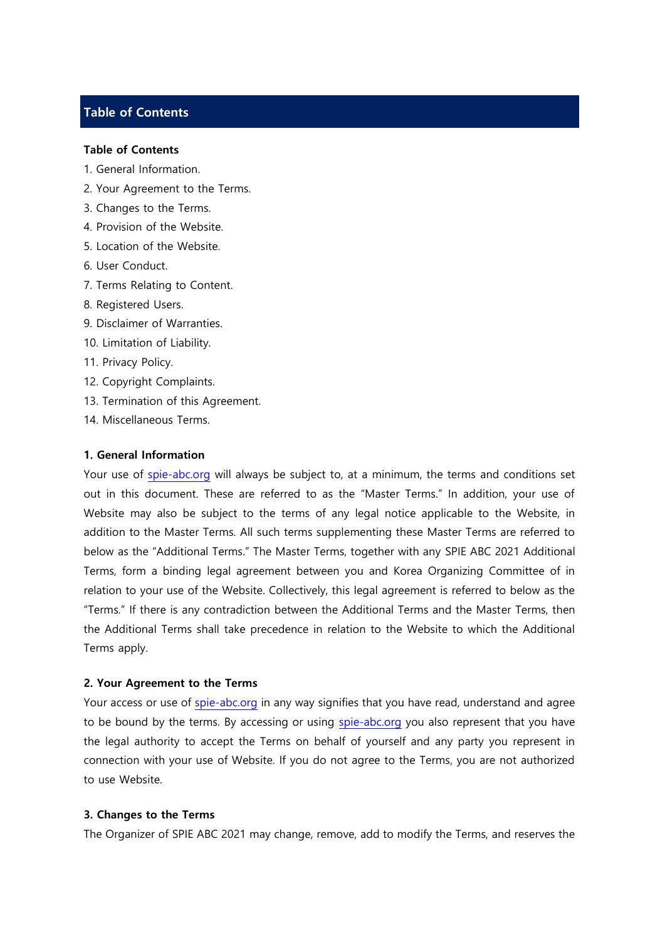# **Table of Contents**

#### **Table of Contents**

- 1. General Information.
- 2. Your Agreement to the Terms.
- 3. Changes to the Terms.
- 4. Provision of the Website.
- 5. Location of the Website.
- 6. User Conduct.
- 7. Terms Relating to Content.
- 8. Registered Users.
- 9. Disclaimer of Warranties.
- 10. Limitation of Liability.
- 11. Privacy Policy.
- 12. Copyright Complaints.
- 13. Termination of this Agreement.
- 14. Miscellaneous Terms.

## **1. General Information**

Your use of [spie-abc.org](http://www.icpmg2022.org/) will always be subject to, at a minimum, the terms and conditions set out in this document. These are referred to as the "Master Terms." In addition, your use of Website may also be subject to the terms of any legal notice applicable to the Website, in addition to the Master Terms. All such terms supplementing these Master Terms are referred to below as the "Additional Terms." The Master Terms, together with any SPIE ABC 2021 Additional Terms, form a binding legal agreement between you and Korea Organizing Committee of in relation to your use of the Website. Collectively, this legal agreement is referred to below as the "Terms." If there is any contradiction between the Additional Terms and the Master Terms, then the Additional Terms shall take precedence in relation to the Website to which the Additional Terms apply.

### **2. Your Agreement to the Terms**

Your access or use of [spie-abc.org](file:///C:/Users/Administrator/Desktop/www.icfpam2016.org) in any way signifies that you have read, understand and agree to be bound by the terms. By accessing or using [spie-abc.org](file:///C:/Users/Administrator/Desktop/www.icfpam2016.org) you also represent that you have the legal authority to accept the Terms on behalf of yourself and any party you represent in connection with your use of Website. If you do not agree to the Terms, you are not authorized to use Website.

#### **3. Changes to the Terms**

The Organizer of SPIE ABC 2021 may change, remove, add to modify the Terms, and reserves the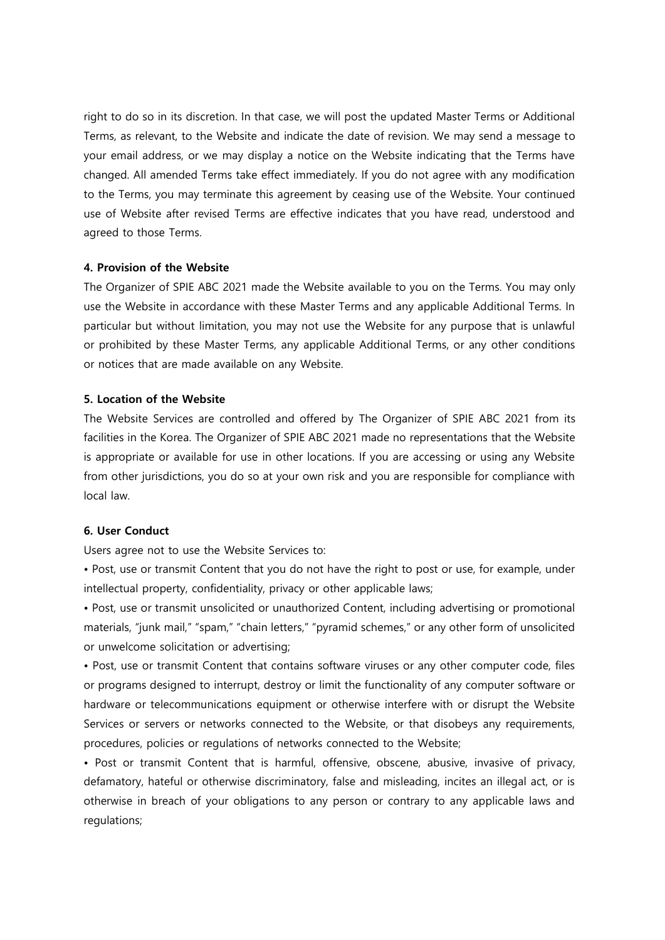right to do so in its discretion. In that case, we will post the updated Master Terms or Additional Terms, as relevant, to the Website and indicate the date of revision. We may send a message to your email address, or we may display a notice on the Website indicating that the Terms have changed. All amended Terms take effect immediately. If you do not agree with any modification to the Terms, you may terminate this agreement by ceasing use of the Website. Your continued use of Website after revised Terms are effective indicates that you have read, understood and agreed to those Terms.

## **4. Provision of the Website**

The Organizer of SPIE ABC 2021 made the Website available to you on the Terms. You may only use the Website in accordance with these Master Terms and any applicable Additional Terms. In particular but without limitation, you may not use the Website for any purpose that is unlawful or prohibited by these Master Terms, any applicable Additional Terms, or any other conditions or notices that are made available on any Website.

# **5. Location of the Website**

The Website Services are controlled and offered by The Organizer of SPIE ABC 2021 from its facilities in the Korea. The Organizer of SPIE ABC 2021 made no representations that the Website is appropriate or available for use in other locations. If you are accessing or using any Website from other jurisdictions, you do so at your own risk and you are responsible for compliance with local law.

## **6. User Conduct**

Users agree not to use the Website Services to:

• Post, use or transmit Content that you do not have the right to post or use, for example, under intellectual property, confidentiality, privacy or other applicable laws;

• Post, use or transmit unsolicited or unauthorized Content, including advertising or promotional materials, "junk mail," "spam," "chain letters," "pyramid schemes," or any other form of unsolicited or unwelcome solicitation or advertising;

• Post, use or transmit Content that contains software viruses or any other computer code, files or programs designed to interrupt, destroy or limit the functionality of any computer software or hardware or telecommunications equipment or otherwise interfere with or disrupt the Website Services or servers or networks connected to the Website, or that disobeys any requirements, procedures, policies or regulations of networks connected to the Website;

• Post or transmit Content that is harmful, offensive, obscene, abusive, invasive of privacy, defamatory, hateful or otherwise discriminatory, false and misleading, incites an illegal act, or is otherwise in breach of your obligations to any person or contrary to any applicable laws and regulations;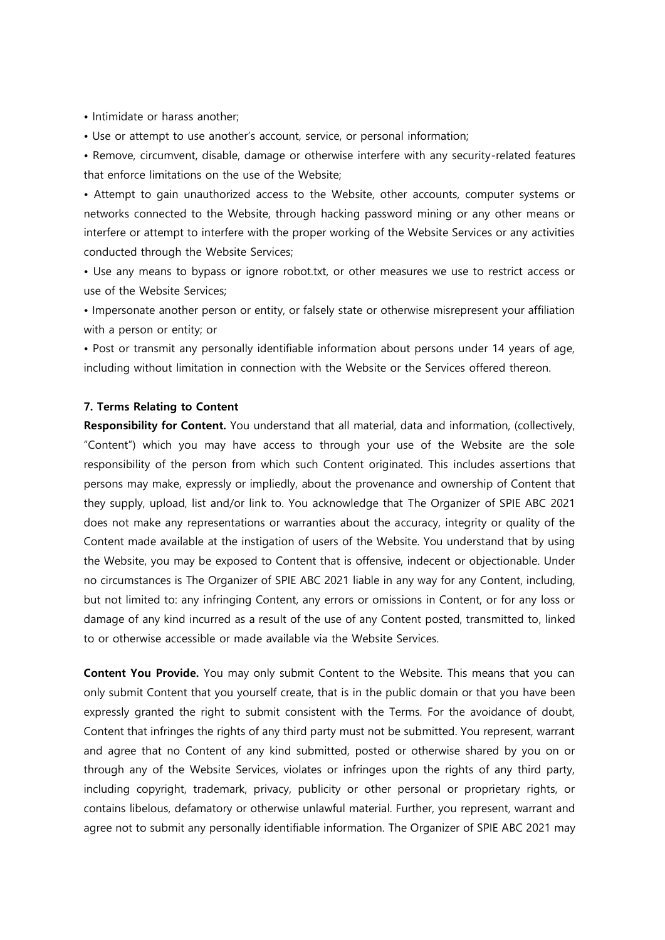• Intimidate or harass another;

• Use or attempt to use another's account, service, or personal information;

• Remove, circumvent, disable, damage or otherwise interfere with any security-related features that enforce limitations on the use of the Website;

• Attempt to gain unauthorized access to the Website, other accounts, computer systems or networks connected to the Website, through hacking password mining or any other means or interfere or attempt to interfere with the proper working of the Website Services or any activities conducted through the Website Services;

• Use any means to bypass or ignore robot.txt, or other measures we use to restrict access or use of the Website Services;

• Impersonate another person or entity, or falsely state or otherwise misrepresent your affiliation with a person or entity; or

• Post or transmit any personally identifiable information about persons under 14 years of age, including without limitation in connection with the Website or the Services offered thereon.

#### **7. Terms Relating to Content**

**Responsibility for Content.** You understand that all material, data and information, (collectively, "Content") which you may have access to through your use of the Website are the sole responsibility of the person from which such Content originated. This includes assertions that persons may make, expressly or impliedly, about the provenance and ownership of Content that they supply, upload, list and/or link to. You acknowledge that The Organizer of SPIE ABC 2021 does not make any representations or warranties about the accuracy, integrity or quality of the Content made available at the instigation of users of the Website. You understand that by using the Website, you may be exposed to Content that is offensive, indecent or objectionable. Under no circumstances is The Organizer of SPIE ABC 2021 liable in any way for any Content, including, but not limited to: any infringing Content, any errors or omissions in Content, or for any loss or damage of any kind incurred as a result of the use of any Content posted, transmitted to, linked to or otherwise accessible or made available via the Website Services.

**Content You Provide.** You may only submit Content to the Website. This means that you can only submit Content that you yourself create, that is in the public domain or that you have been expressly granted the right to submit consistent with the Terms. For the avoidance of doubt, Content that infringes the rights of any third party must not be submitted. You represent, warrant and agree that no Content of any kind submitted, posted or otherwise shared by you on or through any of the Website Services, violates or infringes upon the rights of any third party, including copyright, trademark, privacy, publicity or other personal or proprietary rights, or contains libelous, defamatory or otherwise unlawful material. Further, you represent, warrant and agree not to submit any personally identifiable information. The Organizer of SPIE ABC 2021 may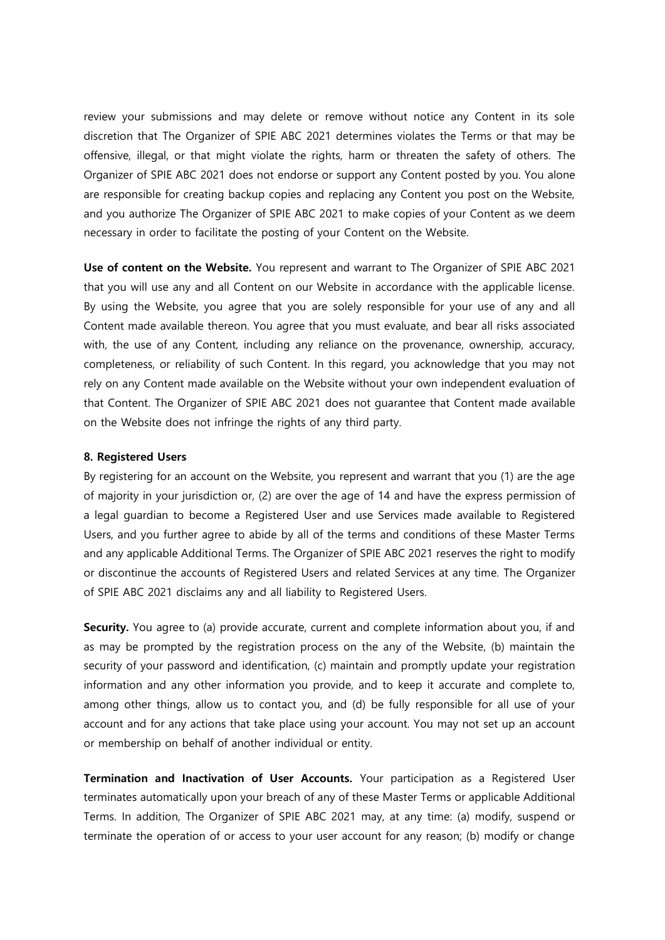review your submissions and may delete or remove without notice any Content in its sole discretion that The Organizer of SPIE ABC 2021 determines violates the Terms or that may be offensive, illegal, or that might violate the rights, harm or threaten the safety of others. The Organizer of SPIE ABC 2021 does not endorse or support any Content posted by you. You alone are responsible for creating backup copies and replacing any Content you post on the Website, and you authorize The Organizer of SPIE ABC 2021 to make copies of your Content as we deem necessary in order to facilitate the posting of your Content on the Website.

**Use of content on the Website.** You represent and warrant to The Organizer of SPIE ABC 2021 that you will use any and all Content on our Website in accordance with the applicable license. By using the Website, you agree that you are solely responsible for your use of any and all Content made available thereon. You agree that you must evaluate, and bear all risks associated with, the use of any Content, including any reliance on the provenance, ownership, accuracy, completeness, or reliability of such Content. In this regard, you acknowledge that you may not rely on any Content made available on the Website without your own independent evaluation of that Content. The Organizer of SPIE ABC 2021 does not guarantee that Content made available on the Website does not infringe the rights of any third party.

## **8. Registered Users**

By registering for an account on the Website, you represent and warrant that you (1) are the age of majority in your jurisdiction or, (2) are over the age of 14 and have the express permission of a legal guardian to become a Registered User and use Services made available to Registered Users, and you further agree to abide by all of the terms and conditions of these Master Terms and any applicable Additional Terms. The Organizer of SPIE ABC 2021 reserves the right to modify or discontinue the accounts of Registered Users and related Services at any time. The Organizer of SPIE ABC 2021 disclaims any and all liability to Registered Users.

**Security.** You agree to (a) provide accurate, current and complete information about you, if and as may be prompted by the registration process on the any of the Website, (b) maintain the security of your password and identification, (c) maintain and promptly update your registration information and any other information you provide, and to keep it accurate and complete to, among other things, allow us to contact you, and (d) be fully responsible for all use of your account and for any actions that take place using your account. You may not set up an account or membership on behalf of another individual or entity.

**Termination and Inactivation of User Accounts.** Your participation as a Registered User terminates automatically upon your breach of any of these Master Terms or applicable Additional Terms. In addition, The Organizer of SPIE ABC 2021 may, at any time: (a) modify, suspend or terminate the operation of or access to your user account for any reason; (b) modify or change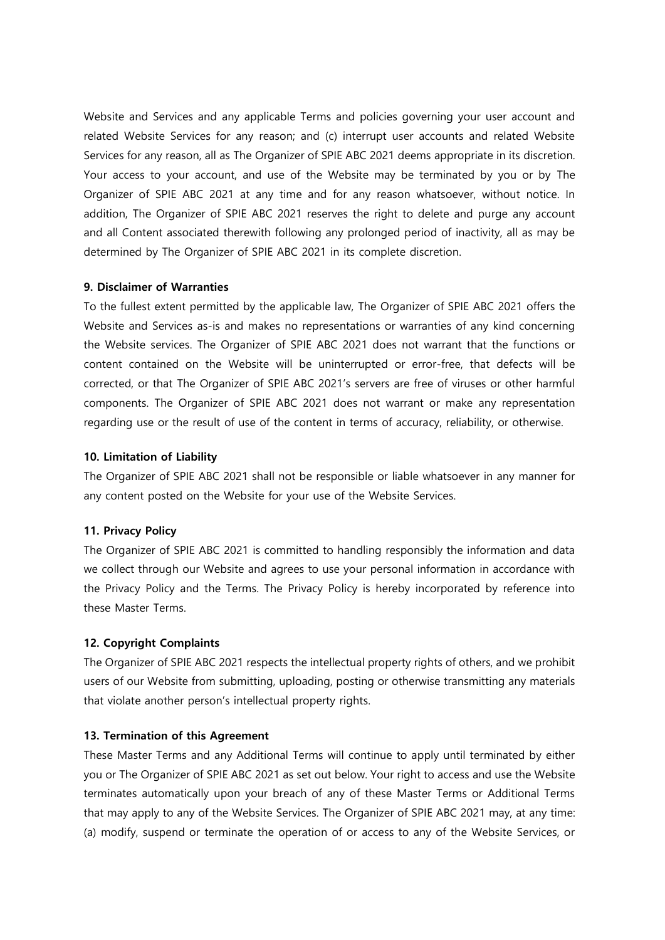Website and Services and any applicable Terms and policies governing your user account and related Website Services for any reason; and (c) interrupt user accounts and related Website Services for any reason, all as The Organizer of SPIE ABC 2021 deems appropriate in its discretion. Your access to your account, and use of the Website may be terminated by you or by The Organizer of SPIE ABC 2021 at any time and for any reason whatsoever, without notice. In addition, The Organizer of SPIE ABC 2021 reserves the right to delete and purge any account and all Content associated therewith following any prolonged period of inactivity, all as may be determined by The Organizer of SPIE ABC 2021 in its complete discretion.

# **9. Disclaimer of Warranties**

To the fullest extent permitted by the applicable law, The Organizer of SPIE ABC 2021 offers the Website and Services as-is and makes no representations or warranties of any kind concerning the Website services. The Organizer of SPIE ABC 2021 does not warrant that the functions or content contained on the Website will be uninterrupted or error-free, that defects will be corrected, or that The Organizer of SPIE ABC 2021's servers are free of viruses or other harmful components. The Organizer of SPIE ABC 2021 does not warrant or make any representation regarding use or the result of use of the content in terms of accuracy, reliability, or otherwise.

## **10. Limitation of Liability**

The Organizer of SPIE ABC 2021 shall not be responsible or liable whatsoever in any manner for any content posted on the Website for your use of the Website Services.

# **11. Privacy Policy**

The Organizer of SPIE ABC 2021 is committed to handling responsibly the information and data we collect through our Website and agrees to use your personal information in accordance with the Privacy Policy and the Terms. The Privacy Policy is hereby incorporated by reference into these Master Terms.

# **12. Copyright Complaints**

The Organizer of SPIE ABC 2021 respects the intellectual property rights of others, and we prohibit users of our Website from submitting, uploading, posting or otherwise transmitting any materials that violate another person's intellectual property rights.

#### **13. Termination of this Agreement**

These Master Terms and any Additional Terms will continue to apply until terminated by either you or The Organizer of SPIE ABC 2021 as set out below. Your right to access and use the Website terminates automatically upon your breach of any of these Master Terms or Additional Terms that may apply to any of the Website Services. The Organizer of SPIE ABC 2021 may, at any time: (a) modify, suspend or terminate the operation of or access to any of the Website Services, or